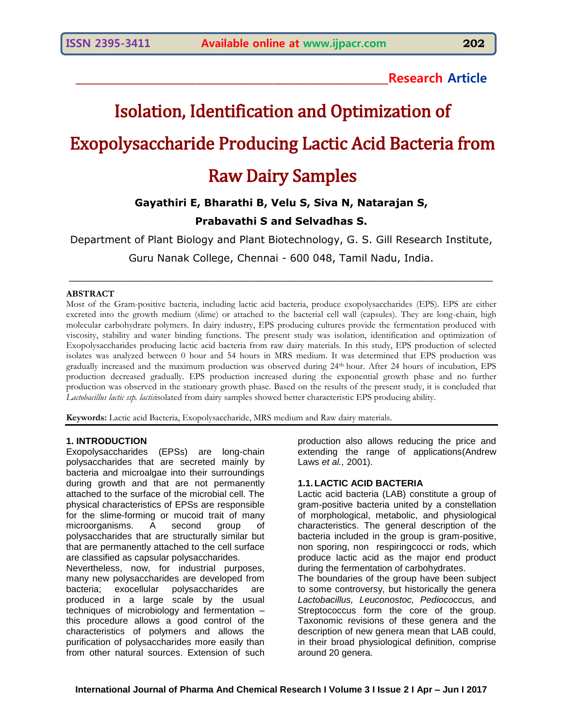**\_\_\_\_\_\_\_\_\_\_\_\_\_\_\_\_\_\_\_\_\_\_\_\_\_\_\_\_\_\_\_\_\_\_\_\_\_\_\_\_\_\_\_\_\_\_\_\_\_\_\_\_\_\_\_\_\_Research Article**

# Isolation, Identification and Optimization of Exopolysaccharide Producing Lactic Acid Bacteria from Raw Dairy Samples

# **Gayathiri E, Bharathi B, Velu S, Siva N, Natarajan S,**

# **Prabavathi S and Selvadhas S.**

Department of Plant Biology and Plant Biotechnology, G. S. Gill Research Institute, Guru Nanak College, Chennai - 600 048, Tamil Nadu, India.

\_\_\_\_\_\_\_\_\_\_\_\_\_\_\_\_\_\_\_\_\_\_\_\_\_\_\_\_\_\_\_\_\_\_\_\_\_\_\_\_\_\_\_\_\_\_\_\_\_\_\_\_\_\_\_\_\_\_\_\_\_\_\_\_\_\_

#### **ABSTRACT**

Most of the Gram-positive bacteria, including lactic acid bacteria, produce exopolysaccharides (EPS). EPS are either excreted into the growth medium (slime) or attached to the bacterial cell wall (capsules). They are long-chain, high molecular carbohydrate polymers. In dairy industry, EPS producing cultures provide the fermentation produced with viscosity, stability and water binding functions. The present study was isolation, identification and optimization of Exopolysaccharides producing lactic acid bacteria from raw dairy materials. In this study, EPS production of selected isolates was analyzed between 0 hour and 54 hours in MRS medium. It was determined that EPS production was gradually increased and the maximum production was observed during 24th hour. After 24 hours of incubation, EPS production decreased gradually. EPS production increased during the exponential growth phase and no further production was observed in the stationary growth phase. Based on the results of the present study, it is concluded that *Lactobacillus lactic ssp. lactis*isolated from dairy samples showed better characteristic EPS producing ability.

**Keywords:** Lactic acid Bacteria, Exopolysaccharide, MRS medium and Raw dairy materials.

#### **1. INTRODUCTION**

Exopolysaccharides (EPSs) are long-chain polysaccharides that are secreted mainly by bacteria and microalgae into their surroundings during growth and that are not permanently attached to the surface of the microbial cell. The physical characteristics of EPSs are responsible for the slime-forming or mucoid trait of many microorganisms. A second group of polysaccharides that are structurally similar but that are permanently attached to the cell surface are classified as capsular polysaccharides.

Nevertheless, now, for industrial purposes, many new polysaccharides are developed from bacteria; exocellular polysaccharides are produced in a large scale by the usual techniques of microbiology and fermentation – this procedure allows a good control of the characteristics of polymers and allows the purification of polysaccharides more easily than from other natural sources. Extension of such production also allows reducing the price and extending the range of applications(Andrew Laws *et al.,* 2001).

#### **1.1.LACTIC ACID BACTERIA**

Lactic acid bacteria (LAB) constitute a group of gram-positive bacteria united by a constellation of morphological, metabolic, and physiological characteristics. The general description of the bacteria included in the group is gram-positive, non sporing, non respiringcocci or rods, which produce lactic acid as the major end product during the fermentation of carbohydrates.

The boundaries of the group have been subject to some controversy, but historically the genera *Lactobacillus, Leuconostoc, Pediococcus,* and Streptococcus form the core of the group. Taxonomic revisions of these genera and the description of new genera mean that LAB could, in their broad physiological definition, comprise around 20 genera.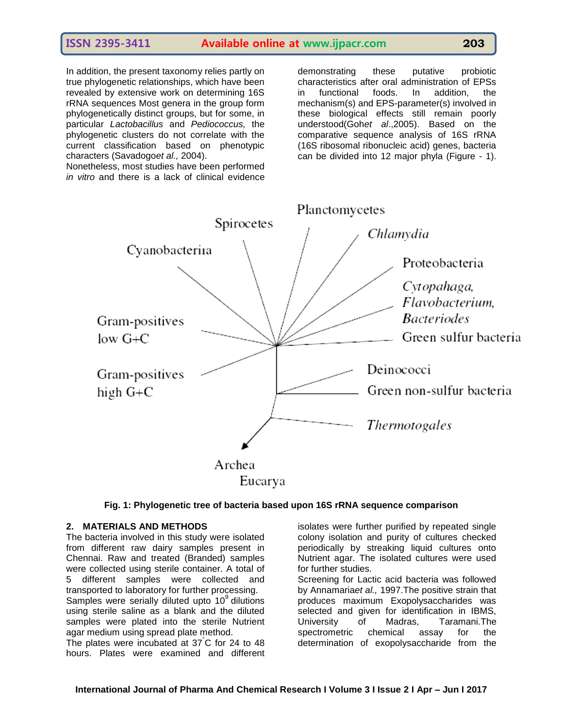## **ISSN 2395-3411 Available online at www.ijpacr.com 203**

In addition, the present taxonomy relies partly on true phylogenetic relationships, which have been revealed by extensive work on determining 16S rRNA sequences Most genera in the group form phylogenetically distinct groups, but for some, in particular *Lactobacillus* and *Pediococcus,* the phylogenetic clusters do not correlate with the current classification based on phenotypic characters (Savadogo*et al.,* 2004).

Nonetheless, most studies have been performed *in vitro* and there is a lack of clinical evidence demonstrating these putative probiotic characteristics after oral administration of EPSs in functional foods. In addition, the mechanism(s) and EPS-parameter(s) involved in these biological effects still remain poorly understood(Goh*et al*.,2005). Based on the comparative sequence analysis of 16S rRNA (16S ribosomal ribonucleic acid) genes, bacteria can be divided into 12 major phyla (Figure - 1).





#### **2. MATERIALS AND METHODS**

The bacteria involved in this study were isolated from different raw dairy samples present in Chennai. Raw and treated (Branded) samples were collected using sterile container. A total of 5 different samples were collected and transported to laboratory for further processing. Samples were serially diluted upto  $10<sup>9</sup>$  dilutions using sterile saline as a blank and the diluted samples were plated into the sterile Nutrient agar medium using spread plate method.

The plates were incubated at 37°C for 24 to 48 hours. Plates were examined and different isolates were further purified by repeated single colony isolation and purity of cultures checked periodically by streaking liquid cultures onto Nutrient agar. The isolated cultures were used for further studies.

Screening for Lactic acid bacteria was followed by Annamaria*et al.,* 1997.The positive strain that produces maximum Exopolysaccharides was selected and given for identification in IBMS, University of Madras, Taramani.The spectrometric chemical assay for the determination of exopolysaccharide from the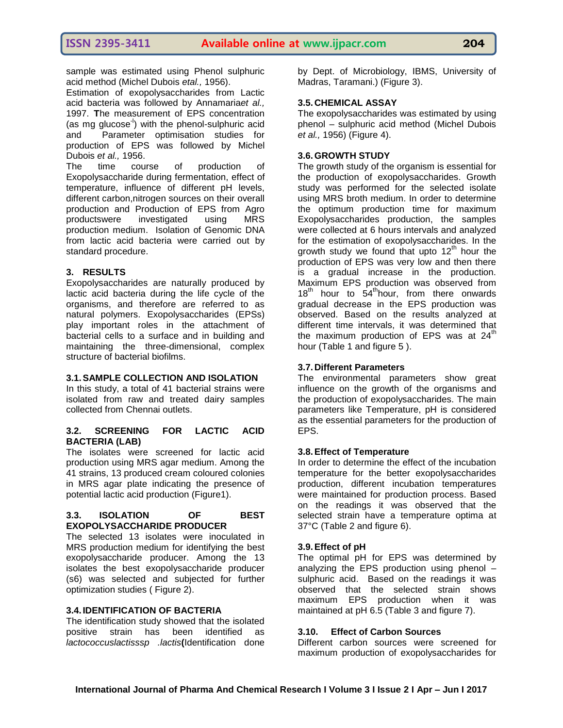sample was estimated using Phenol sulphuric acid method (Michel Dubois *etal.,* 1956).

Estimation of exopolysaccharides from Lactic acid bacteria was followed by Annamaria*et al.,* 1997. **T**he measurement of EPS concentration (as mg glucose<sup>-1</sup>) with the phenol-sulphuric acid and Parameter optimisation studies for production of EPS was followed by Michel Dubois *et al.,* 1956.

The time course of production of Exopolysaccharide during fermentation, effect of temperature, influence of different pH levels, different carbon,nitrogen sources on their overall production and Production of EPS from Agro productswere investigated using MRS production medium. Isolation of Genomic DNA from lactic acid bacteria were carried out by standard procedure.

#### **3. RESULTS**

Exopolysaccharides are naturally produced by lactic acid bacteria during the life cycle of the organisms, and therefore are referred to as natural polymers. Exopolysaccharides (EPSs) play important roles in the attachment of bacterial cells to a surface and in building and maintaining the three-dimensional, complex structure of bacterial biofilms.

#### **3.1.SAMPLE COLLECTION AND ISOLATION**

In this study, a total of 41 bacterial strains were isolated from raw and treated dairy samples collected from Chennai outlets.

#### **3.2. SCREENING FOR LACTIC ACID BACTERIA (LAB)**

The isolates were screened for lactic acid production using MRS agar medium. Among the 41 strains, 13 produced cream coloured colonies in MRS agar plate indicating the presence of potential lactic acid production (Figure1).

#### **3.3. ISOLATION OF BEST EXOPOLYSACCHARIDE PRODUCER**

The selected 13 isolates were inoculated in MRS production medium for identifying the best exopolysaccharide producer. Among the 13 isolates the best exopolysaccharide producer (s6) was selected and subjected for further optimization studies ( Figure 2).

#### **3.4. IDENTIFICATION OF BACTERIA**

The identification study showed that the isolated positive strain has been identified as *lactococcuslactisssp .lactis***(**Identification done by Dept. of Microbiology, IBMS, University of Madras, Taramani.) (Figure 3).

#### **3.5. CHEMICAL ASSAY**

The exopolysaccharides was estimated by using phenol – sulphuric acid method (Michel Dubois *et al.,* 1956) (Figure 4).

#### **3.6.GROWTH STUDY**

The growth study of the organism is essential for the production of exopolysaccharides. Growth study was performed for the selected isolate using MRS broth medium. In order to determine the optimum production time for maximum Exopolysaccharides production, the samples were collected at 6 hours intervals and analyzed for the estimation of exopolysaccharides. In the growth study we found that upto  $12<sup>th</sup>$  hour the production of EPS was very low and then there is a gradual increase in the production. Maximum EPS production was observed from  $18<sup>th</sup>$  hour to  $54<sup>th</sup>$  hour, from there onwards gradual decrease in the EPS production was observed. Based on the results analyzed at different time intervals, it was determined that the maximum production of EPS was at  $24<sup>th</sup>$ hour (Table 1 and figure 5 ).

#### **3.7. Different Parameters**

The environmental parameters show great influence on the growth of the organisms and the production of exopolysaccharides. The main parameters like Temperature, pH is considered as the essential parameters for the production of EPS.

#### **3.8.Effect of Temperature**

In order to determine the effect of the incubation temperature for the better exopolysaccharides production, different incubation temperatures were maintained for production process. Based on the readings it was observed that the selected strain have a temperature optima at 37°C (Table 2 and figure 6).

#### **3.9.Effect of pH**

The optimal pH for EPS was determined by analyzing the EPS production using phenol – sulphuric acid. Based on the readings it was observed that the selected strain shows maximum EPS production when it was maintained at pH 6.5 (Table 3 and figure 7).

#### **3.10. Effect of Carbon Sources**

Different carbon sources were screened for maximum production of exopolysaccharides for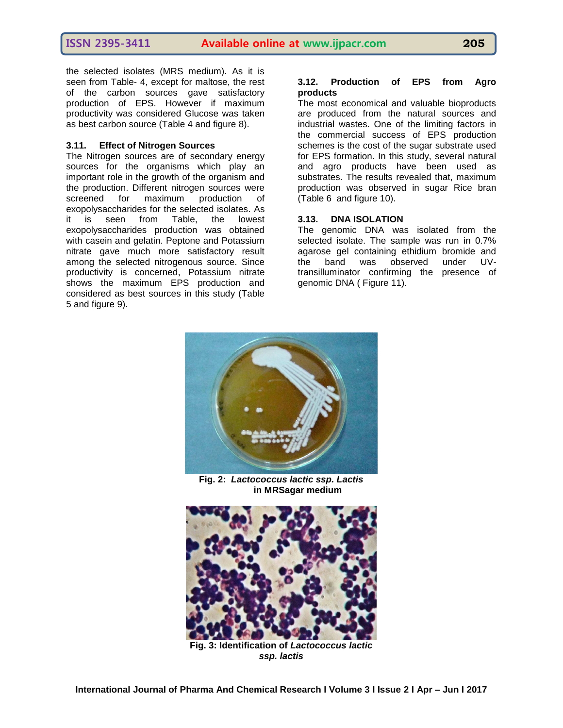the selected isolates (MRS medium). As it is seen from Table- 4, except for maltose, the rest of the carbon sources gave satisfactory production of EPS. However if maximum productivity was considered Glucose was taken as best carbon source (Table 4 and figure 8).

#### **3.11. Effect of Nitrogen Sources**

The Nitrogen sources are of secondary energy sources for the organisms which play an important role in the growth of the organism and the production. Different nitrogen sources were screened for maximum production of exopolysaccharides for the selected isolates. As it is seen from Table, the lowest exopolysaccharides production was obtained with casein and gelatin. Peptone and Potassium nitrate gave much more satisfactory result among the selected nitrogenous source. Since productivity is concerned, Potassium nitrate shows the maximum EPS production and considered as best sources in this study (Table 5 and figure 9).

#### **3.12. Production of EPS from Agro products**

The most economical and valuable bioproducts are produced from the natural sources and industrial wastes. One of the limiting factors in the commercial success of EPS production schemes is the cost of the sugar substrate used for EPS formation. In this study, several natural and agro products have been used as substrates. The results revealed that, maximum production was observed in sugar Rice bran (Table 6 and figure 10).

#### **3.13. DNA ISOLATION**

The genomic DNA was isolated from the selected isolate. The sample was run in 0.7% agarose gel containing ethidium bromide and the band was observed under UVtransilluminator confirming the presence of genomic DNA ( Figure 11).



**Fig. 2:** *Lactococcus lactic ssp. Lactis* **in MRSagar medium**



**Fig. 3: Identification of** *Lactococcus lactic ssp. lactis*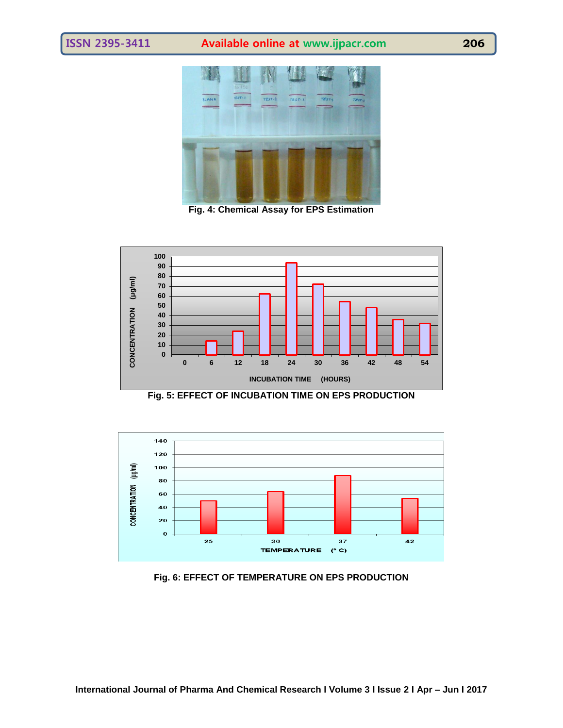# **ISSN 2395-3411 Available online at www.ijpacr.com 206**



**Fig. 4: Chemical Assay for EPS Estimation**



**Fig. 5: EFFECT OF INCUBATION TIME ON EPS PRODUCTION**



**Fig. 6: EFFECT OF TEMPERATURE ON EPS PRODUCTION**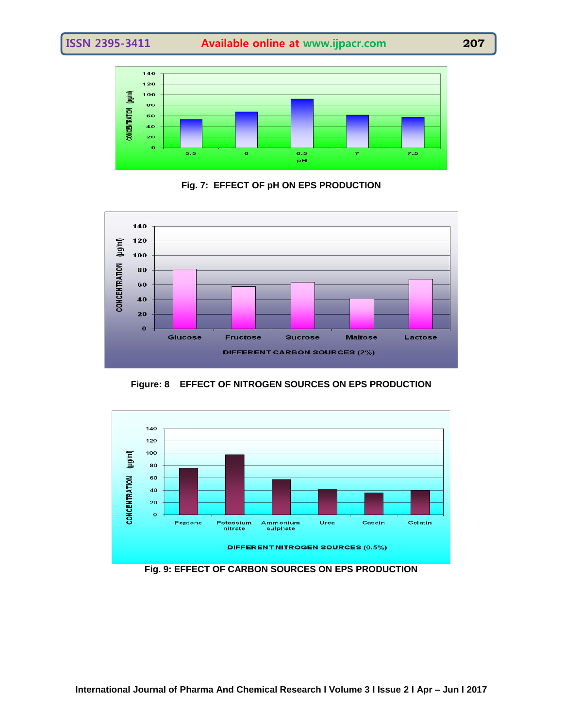

**Fig. 7: EFFECT OF pH ON EPS PRODUCTION**



**Figure: 8 EFFECT OF NITROGEN SOURCES ON EPS PRODUCTION**



**Fig. 9: EFFECT OF CARBON SOURCES ON EPS PRODUCTION**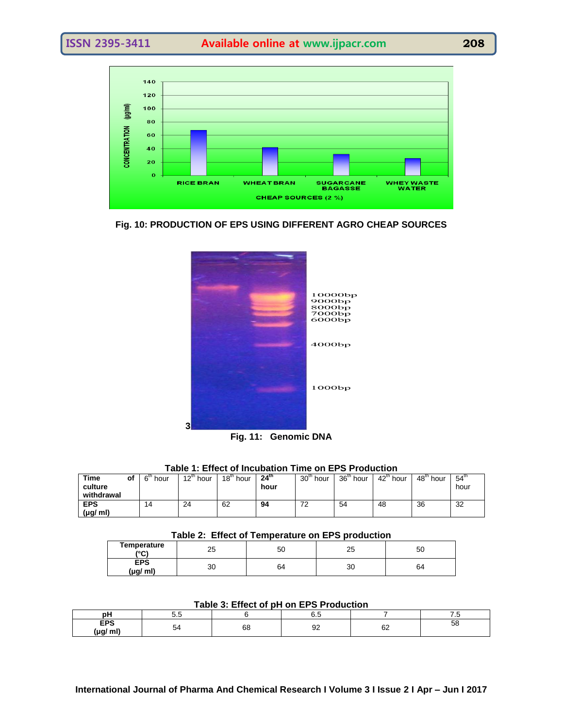

**Fig. 10: PRODUCTION OF EPS USING DIFFERENT AGRO CHEAP SOURCES**



| Table 1: Effect of Incubation Time on EPS Production |  |  |
|------------------------------------------------------|--|--|
|------------------------------------------------------|--|--|

| Time<br>culture<br>withdrawal | οf | $6th$ hour | $12^{\text{th}}$ hour | $18m$ hour | 24 <sup>th</sup><br>hour | $30th$ hour | 36 <sup>th</sup> hour | 42 <sup>th</sup> hour | $48th$ hour | 54 <sup>th</sup><br>hour |
|-------------------------------|----|------------|-----------------------|------------|--------------------------|-------------|-----------------------|-----------------------|-------------|--------------------------|
| <b>EPS</b><br>$(\mu g/m)$     |    | 14         | 24                    | 62         | 94                       | ∠           | 54                    | 48                    | 36          | 32                       |

#### **Table 2: Effect of Temperature on EPS production**

| Temperature<br>(°C)    | or.<br>້ | 50 | n r<br>ںے | 50 |
|------------------------|----------|----|-----------|----|
| <b>EPS</b><br>(µg/ ml) | 30       | 64 | 30        | 64 |

**Table 3: Effect of pH on EPS Production**

| Table J. Lilect Of pri Off Li O Froughtform |    |    |   |          |     |  |  |  |
|---------------------------------------------|----|----|---|----------|-----|--|--|--|
| pН                                          | ິ. |    |   |          | . . |  |  |  |
| -ne<br>mi<br>/µg،                           |    | 68 | ັ | n r<br>୰ | ວເ  |  |  |  |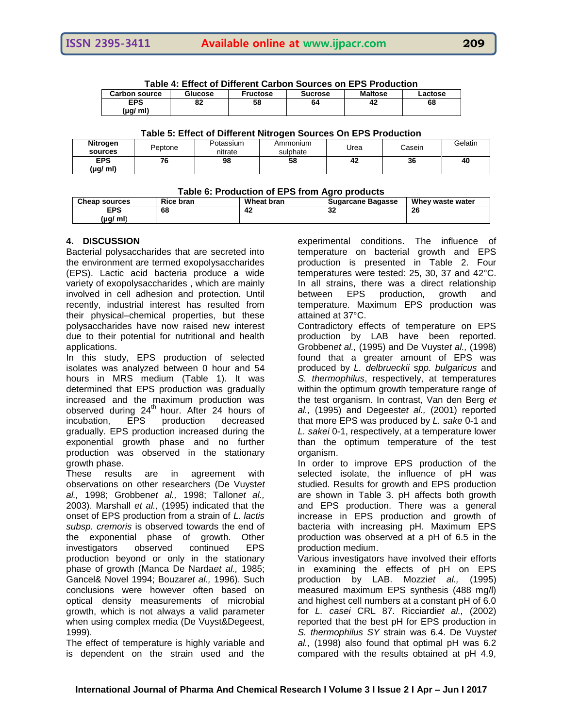| TADIC 4. LIICULUI DIIICICIIL VAIDUII JUULUCS UII LE J FTUUUULIUII |         |                 |                |                |         |  |  |  |
|-------------------------------------------------------------------|---------|-----------------|----------------|----------------|---------|--|--|--|
| <b>Carbon source</b>                                              | Glucose | <b>Fructose</b> | <b>Sucrose</b> | <b>Maltose</b> | Lactose |  |  |  |
| <b>EPS</b>                                                        | 82      | 58              | 64             | 42             | 68      |  |  |  |
| (µg/ ml)                                                          |         |                 |                |                |         |  |  |  |

**Table 4: Effect of Different Carbon Sources on EPS Production**

#### **Table 5: Effect of Different Nitrogen Sources On EPS Production**

| Nitrogen               | Peptone | Potassium | Ammonium | Urea | Casein | Gelatin |
|------------------------|---------|-----------|----------|------|--------|---------|
| sources                |         | nitrate   | sulphate |      |        |         |
| <b>EPS</b><br>(µg/ ml) | 76      | 98        | 58       | 42   | 36     | 40      |

#### **Table 6: Production of EPS from Agro products**

| ________________     |                  |            |                          |                  |  |  |  |  |
|----------------------|------------------|------------|--------------------------|------------------|--|--|--|--|
| <b>Cheap sources</b> | <b>Rice bran</b> | Wheat bran | <b>Sugarcane Bagasse</b> | Whey waste water |  |  |  |  |
| EPS                  | 68               | 42         | <br>34                   | 26               |  |  |  |  |
| $(\mu g/m)$          |                  |            |                          |                  |  |  |  |  |

#### **4. DISCUSSION**

Bacterial polysaccharides that are secreted into the environment are termed exopolysaccharides (EPS). Lactic acid bacteria produce a wide variety of exopolysaccharides , which are mainly involved in cell adhesion and protection. Until recently, industrial interest has resulted from their physical–chemical properties, but these polysaccharides have now raised new interest due to their potential for nutritional and health applications.

In this study, EPS production of selected isolates was analyzed between 0 hour and 54 hours in MRS medium (Table 1). It was determined that EPS production was gradually increased and the maximum production was observed during  $24<sup>th</sup>$  hour. After 24 hours of incubation, EPS production decreased gradually. EPS production increased during the exponential growth phase and no further production was observed in the stationary growth phase.

These results are in agreement with observations on other researchers (De Vuyst*et al.,* 1998; Grobben*et al.,* 1998; Tallon*et al.,* 2003). Marshall *et al.,* (1995) indicated that the onset of EPS production from a strain of *L. lactis subsp. cremoris* is observed towards the end of the exponential phase of growth. Other investigators observed continued EPS production beyond or only in the stationary phase of growth (Manca De Narda*et al.,* 1985; Gancel& Novel 1994; Bouzar*et al.,* 1996). Such conclusions were however often based on optical density measurements of microbial growth, which is not always a valid parameter when using complex media (De Vuyst&Degeest, 1999).

The effect of temperature is highly variable and is dependent on the strain used and the

experimental conditions. The influence of temperature on bacterial growth and EPS production is presented in Table 2. Four temperatures were tested: 25, 30, 37 and 42°C. In all strains, there was a direct relationship<br>between EPS production, growth and between EPS production, growth and temperature. Maximum EPS production was attained at 37°C.

Contradictory effects of temperature on EPS production by LAB have been reported. Grobben*et al.,* (1995) and De Vuyst*et al.,* (1998) found that a greater amount of EPS was produced by *L. delbrueckii spp. bulgaricus* and *S. thermophilus*, respectively, at temperatures within the optimum growth temperature range of the test organism. In contrast, Van den Berg *et al.,* (1995) and Degeest*et al.,* (2001) reported that more EPS was produced by *L. sake* 0-1 and *L. sakei* 0-1, respectively, at a temperature lower than the optimum temperature of the test organism.

In order to improve EPS production of the selected isolate, the influence of pH was studied. Results for growth and EPS production are shown in Table 3. pH affects both growth and EPS production. There was a general increase in EPS production and growth of bacteria with increasing pH. Maximum EPS production was observed at a pH of 6.5 in the production medium.

Various investigators have involved their efforts in examining the effects of pH on EPS production by LAB. Mozzi*et al.,* (1995) measured maximum EPS synthesis (488 mg/l) and highest cell numbers at a constant pH of 6.0 for *L. casei* CRL 87. Ricciardi*et al.,* (2002) reported that the best pH for EPS production in *S. thermophilus SY* strain was 6.4. De Vuyst*et al.,* (1998) also found that optimal pH was 6.2 compared with the results obtained at pH 4.9,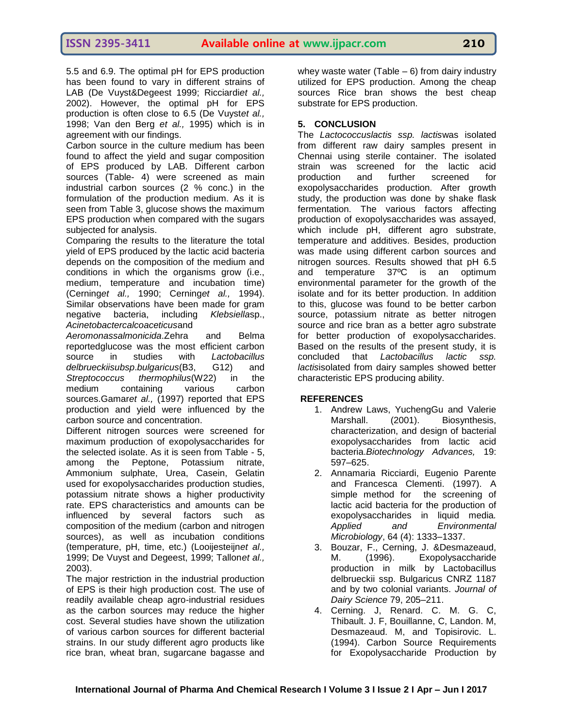5.5 and 6.9. The optimal pH for EPS production has been found to vary in different strains of LAB (De Vuyst&Degeest 1999; Ricciardi*et al.,* 2002). However, the optimal pH for EPS production is often close to 6.5 (De Vuyst*et al.,* 1998; Van den Berg *et al.,* 1995) which is in agreement with our findings.

Carbon source in the culture medium has been found to affect the yield and sugar composition of EPS produced by LAB. Different carbon sources (Table- 4) were screened as main industrial carbon sources (2 % conc.) in the formulation of the production medium. As it is seen from Table 3, glucose shows the maximum EPS production when compared with the sugars subjected for analysis.

Comparing the results to the literature the total yield of EPS produced by the lactic acid bacteria depends on the composition of the medium and conditions in which the organisms grow (i.e., medium, temperature and incubation time) (Cerning*et al.,* 1990; Cerning*et al.,* 1994). Similar observations have been made for gram negative bacteria, including *Klebsiella*sp., *Acinetobactercalcoaceticus*and

*Aeromonassalmonicida*.Zehra and Belma reportedglucose was the most efficient carbon source in studies with *Lactobacillus delbrueckiisubsp*.*bulgaricus*(B3, G12) and *Streptococcus thermophilus*(W22) in the medium containing various carbon sources.Gamar*et al.,* (1997) reported that EPS production and yield were influenced by the carbon source and concentration.

Different nitrogen sources were screened for maximum production of exopolysaccharides for the selected isolate. As it is seen from Table - 5, among the Peptone, Potassium nitrate, Ammonium sulphate, Urea, Casein, Gelatin used for exopolysaccharides production studies, potassium nitrate shows a higher productivity rate. EPS characteristics and amounts can be influenced by several factors such as composition of the medium (carbon and nitrogen sources), as well as incubation conditions (temperature, pH, time, etc.) (Looijesteijn*et al.,* 1999; De Vuyst and Degeest, 1999; Tallon*et al.,* 2003).

The major restriction in the industrial production of EPS is their high production cost. The use of readily available cheap agro-industrial residues as the carbon sources may reduce the higher cost. Several studies have shown the utilization of various carbon sources for different bacterial strains. In our study different agro products like rice bran, wheat bran, sugarcane bagasse and whey waste water (Table  $-6$ ) from dairy industry utilized for EPS production. Among the cheap sources Rice bran shows the best cheap substrate for EPS production.

### **5. CONCLUSION**

The *Lactococcuslactis ssp. lactis*was isolated from different raw dairy samples present in Chennai using sterile container. The isolated strain was screened for the lactic acid production and further screened for exopolysaccharides production. After growth study, the production was done by shake flask fermentation. The various factors affecting production of exopolysaccharides was assayed, which include pH, different agro substrate, temperature and additives. Besides, production was made using different carbon sources and nitrogen sources. Results showed that pH 6.5 and temperature 37ºC is an optimum environmental parameter for the growth of the isolate and for its better production. In addition to this, glucose was found to be better carbon source, potassium nitrate as better nitrogen source and rice bran as a better agro substrate for better production of exopolysaccharides. Based on the results of the present study, it is concluded that *Lactobacillus lactic ssp. lactis*isolated from dairy samples showed better characteristic EPS producing ability.

#### **REFERENCES**

- 1. Andrew Laws, YuchengGu and Valerie Marshall. (2001). Biosynthesis, characterization, and design of bacterial exopolysaccharides from lactic acid bacteria.*Biotechnology Advances,* 19: 597–625.
- 2. Annamaria Ricciardi, Eugenio Parente and Francesca Clementi. (1997). A simple method for the screening of lactic acid bacteria for the production of exopolysaccharides in liquid media*. Applied and Environmental Microbiology*, 64 (4): 1333–1337.
- 3. Bouzar, F., Cerning, J. &Desmazeaud, M. (1996). Exopolysaccharide production in milk by Lactobacillus delbrueckii ssp. Bulgaricus CNRZ 1187 and by two colonial variants. *Journal of Dairy Science* 79, 205–211.
- 4. Cerning. J, Renard. C. M. G. C, Thibault. J. F, Bouillanne, C, Landon. M, Desmazeaud. M, and Topisirovic. L. (1994). Carbon Source Requirements for Exopolysaccharide Production by